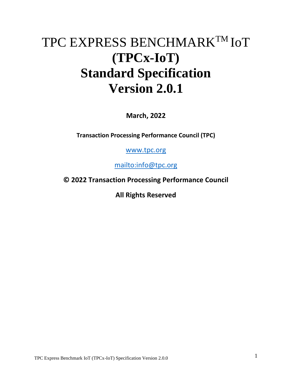# TPC EXPRESS BENCHMARKTM IoT **(TPCx-IoT) Standard Specification Version 2.0.1**

**March, 2022**

**Transaction Processing Performance Council (TPC)**

[www.tpc.org](http://www.tpc.org/)

<mailto:info@tpc.org>

**© 2022 Transaction Processing Performance Council**

**All Rights Reserved**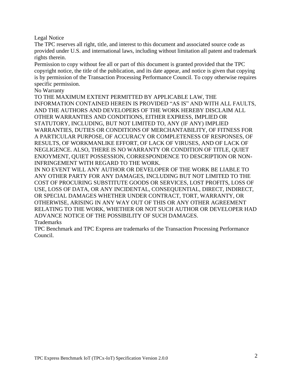Legal Notice

The TPC reserves all right, title, and interest to this document and associated source code as provided under U.S. and international laws, including without limitation all patent and trademark rights therein.

Permission to copy without fee all or part of this document is granted provided that the TPC copyright notice, the title of the publication, and its date appear, and notice is given that copying is by permission of the Transaction Processing Performance Council. To copy otherwise requires specific permission.

No Warranty

TO THE MAXIMUM EXTENT PERMITTED BY APPLICABLE LAW, THE INFORMATION CONTAINED HEREIN IS PROVIDED "AS IS" AND WITH ALL FAULTS, AND THE AUTHORS AND DEVELOPERS OF THE WORK HEREBY DISCLAIM ALL OTHER WARRANTIES AND CONDITIONS, EITHER EXPRESS, IMPLIED OR STATUTORY, INCLUDING, BUT NOT LIMITED TO, ANY (IF ANY) IMPLIED WARRANTIES, DUTIES OR CONDITIONS OF MERCHANTABILITY, OF FITNESS FOR A PARTICULAR PURPOSE, OF ACCURACY OR COMPLETENESS OF RESPONSES, OF RESULTS, OF WORKMANLIKE EFFORT, OF LACK OF VIRUSES, AND OF LACK OF NEGLIGENCE. ALSO, THERE IS NO WARRANTY OR CONDITION OF TITLE, QUIET ENJOYMENT, QUIET POSSESSION, CORRESPONDENCE TO DESCRIPTION OR NON-INFRINGEMENT WITH REGARD TO THE WORK.

IN NO EVENT WILL ANY AUTHOR OR DEVELOPER OF THE WORK BE LIABLE TO ANY OTHER PARTY FOR ANY DAMAGES, INCLUDING BUT NOT LIMITED TO THE COST OF PROCURING SUBSTITUTE GOODS OR SERVICES, LOST PROFITS, LOSS OF USE, LOSS OF DATA, OR ANY INCIDENTAL, CONSEQUENTIAL, DIRECT, INDIRECT, OR SPECIAL DAMAGES WHETHER UNDER CONTRACT, TORT, WARRANTY, OR OTHERWISE, ARISING IN ANY WAY OUT OF THIS OR ANY OTHER AGREEMENT RELATING TO THE WORK, WHETHER OR NOT SUCH AUTHOR OR DEVELOPER HAD ADVANCE NOTICE OF THE POSSIBILITY OF SUCH DAMAGES. Trademarks

TPC Benchmark and TPC Express are trademarks of the Transaction Processing Performance Council.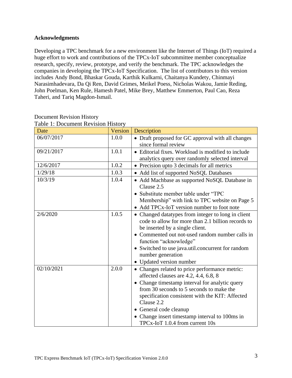#### **Acknowledgments**

Developing a TPC benchmark for a new environment like the Internet of Things (IoT) required a huge effort to work and contributions of the TPCx-IoT subcommittee member conceptualize research, specify, review, prototype, and verify the benchmark. The TPC acknowledges the companies in developing the TPCx-IoT Specification. The list of contributors to this version includes Andy Bond, Bhaskar Gouda, Karthik Kulkarni, Chaitanya Kundety, Chinmayi Narasimhadevara, Da Qi Ren, David Grimes, Meikel Poess, Nicholas Wakou, Jamie Reding, John Poelman, Ken Rule, Hamesh Patel, Mike Brey, Matthew Emmerton, Paul Cao, Reza Taheri, and Tariq Magdon-Ismail.

| radic 1. Document Kevision History |         |                                                    |  |  |  |
|------------------------------------|---------|----------------------------------------------------|--|--|--|
| Date                               | Version | Description                                        |  |  |  |
| 06/07/2017                         | 1.0.0   | • Draft proposed for GC approval with all changes  |  |  |  |
|                                    |         | since formal review                                |  |  |  |
| 09/21/2017                         | 1.0.1   | • Editorial fixes. Workload is modified to include |  |  |  |
|                                    |         | analytics query over randomly selected interval    |  |  |  |
| 12/6/2017                          | 1.0.2   | • Precision upto 3 decimals for all metrics        |  |  |  |
| 1/29/18                            | 1.0.3   | • Add list of supported NoSQL Databases            |  |  |  |
| 10/3/19                            | 1.0.4   | • Add Machbase as supported NoSQL Database in      |  |  |  |
|                                    |         | Clause 2.5                                         |  |  |  |
|                                    |         | • Substitute member table under "TPC               |  |  |  |
|                                    |         | Membership" with link to TPC website on Page 5     |  |  |  |
|                                    |         | Add TPCx-IoT version number to foot note           |  |  |  |
| 2/6/2020                           | 1.0.5   | • Changed datatypes from integer to long in client |  |  |  |
|                                    |         | code to allow for more than 2.1 billion records to |  |  |  |
|                                    |         | be inserted by a single client.                    |  |  |  |
|                                    |         | • Commented out not-used random number calls in    |  |  |  |
|                                    |         | function "acknowledge"                             |  |  |  |
|                                    |         | • Switched to use java.util.concurrent for random  |  |  |  |
|                                    |         | number generation                                  |  |  |  |
|                                    |         | • Updated version number                           |  |  |  |
| 02/10/2021                         | 2.0.0   | • Changes related to price performance metric:     |  |  |  |
|                                    |         | affected clauses are 4.2, 4.4, 6.8, 8              |  |  |  |
|                                    |         | • Change timestamp interval for analytic query     |  |  |  |
|                                    |         | from 30 seconds to 5 seconds to make the           |  |  |  |
|                                    |         | specification consistent with the KIT: Affected    |  |  |  |
|                                    |         | Clause 2.2                                         |  |  |  |
|                                    |         | • General code cleanup                             |  |  |  |
|                                    |         | • Change insert timestamp interval to 100ms in     |  |  |  |
|                                    |         | TPCx-IoT 1.0.4 from current 10s                    |  |  |  |

#### Document Revision History Table 1: Document Revision History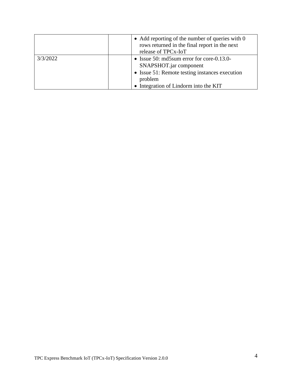|          | • Add reporting of the number of queries with $0$<br>rows returned in the final report in the next<br>release of TPCx-IoT                                                     |
|----------|-------------------------------------------------------------------------------------------------------------------------------------------------------------------------------|
| 3/3/2022 | • Issue 50: md5sum error for core- $0.13.0$ -<br>SNAPSHOT.jar component<br>• Issue 51: Remote testing instances execution<br>problem<br>• Integration of Lindorm into the KIT |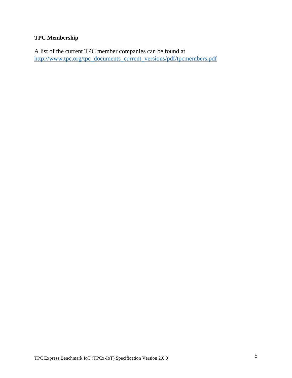# **TPC Membership**

A list of the current TPC member companies can be found at [http://www.tpc.org/tpc\\_documents\\_current\\_versions/pdf/tpcmembers.pdf](http://www.tpc.org/tpc_documents_current_versions/pdf/tpcmembers.pdf)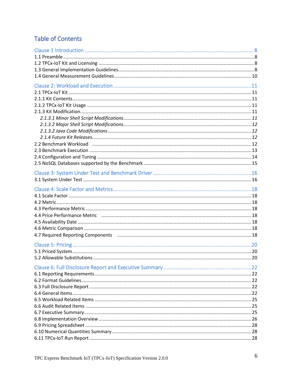# **Table of Contents**

| 4.7 Required Reporting Components (1998) 2006 12.000 100 13.000 13.000 14.000 14.000 14.000 14.000 14.000 14.0 |  |
|----------------------------------------------------------------------------------------------------------------|--|
|                                                                                                                |  |
|                                                                                                                |  |
|                                                                                                                |  |
|                                                                                                                |  |
|                                                                                                                |  |
|                                                                                                                |  |
|                                                                                                                |  |
|                                                                                                                |  |
|                                                                                                                |  |
|                                                                                                                |  |
|                                                                                                                |  |
|                                                                                                                |  |
|                                                                                                                |  |
|                                                                                                                |  |
|                                                                                                                |  |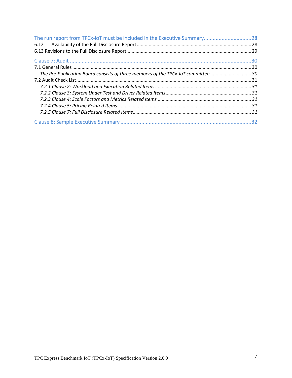| The run report from TPCx-IoT must be included in the Executive Summary28              |  |
|---------------------------------------------------------------------------------------|--|
|                                                                                       |  |
|                                                                                       |  |
|                                                                                       |  |
|                                                                                       |  |
| 10. The Pre-Publication Board consists of three members of the TPCx-IoT committee. 30 |  |
|                                                                                       |  |
|                                                                                       |  |
|                                                                                       |  |
|                                                                                       |  |
|                                                                                       |  |
|                                                                                       |  |
|                                                                                       |  |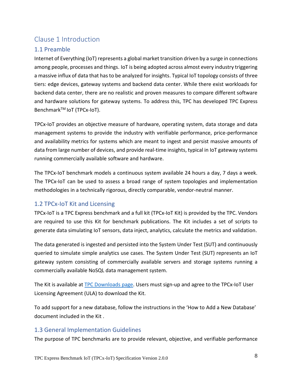# <span id="page-7-0"></span>Clause 1 Introduction

# <span id="page-7-1"></span>1.1 Preamble

Internet of Everything (IoT) represents a global market transition driven by a surge in connections among people, processes and things. IoT is being adopted across almost every industry triggering a massive influx of data that has to be analyzed for insights. Typical IoT topology consists of three tiers: edge devices, gateway systems and backend data center. While there exist workloads for backend data center, there are no realistic and proven measures to compare different software and hardware solutions for gateway systems. To address this, TPC has developed TPC Express Benchmark<sup>™</sup> IoT (TPCx-IoT).

TPCx-IoT provides an objective measure of hardware, operating system, data storage and data management systems to provide the industry with verifiable performance, price-performance and availability metrics for systems which are meant to ingest and persist massive amounts of data from large number of devices, and provide real-time insights, typical in IoT gateway systems running commercially available software and hardware.

The TPCx-IoT benchmark models a continuous system available 24 hours a day, 7 days a week. The TPCx-IoT can be used to assess a broad range of system topologies and implementation methodologies in a technically rigorous, directly comparable, vendor-neutral manner.

# <span id="page-7-2"></span>1.2 TPCx-IoT Kit and Licensing

TPCx-IoT is a TPC Express benchmark and a full kit (TPCx-IoT Kit) is provided by the TPC. Vendors are required to use this Kit for benchmark publications. The Kit includes a set of scripts to generate data simulating IoT sensors, data inject, analytics, calculate the metrics and validation.

The data generated is ingested and persisted into the System Under Test (SUT) and continuously queried to simulate simple analytics use cases. The System Under Test (SUT) represents an IoT gateway system consisting of commercially available servers and storage systems running a commercially available NoSQL data management system.

The Kit is available at [TPC Downloads page.](http://www.tpc.org/tpc_documents_current_versions/current_specifications.asp) Users must sign-up and agree to the TPCx-IoT User Licensing Agreement (ULA) to download the Kit.

To add support for a new database, follow the instructions in the 'How to Add a New Database' document included in the Kit .

# <span id="page-7-3"></span>1.3 General Implementation Guidelines

The purpose of TPC benchmarks are to provide relevant, objective, and verifiable performance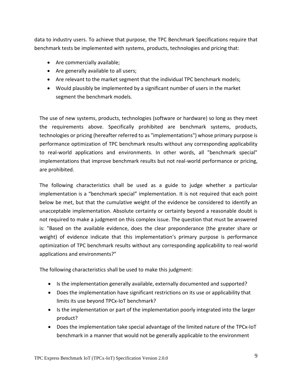data to industry users. To achieve that purpose, the TPC Benchmark Specifications require that benchmark tests be implemented with systems, products, technologies and pricing that:

- Are commercially available;
- Are generally available to all users;
- Are relevant to the market segment that the individual TPC benchmark models;
- Would plausibly be implemented by a significant number of users in the market segment the benchmark models.

The use of new systems, products, technologies (software or hardware) so long as they meet the requirements above. Specifically prohibited are benchmark systems, products, technologies or pricing (hereafter referred to as "implementations") whose primary purpose is performance optimization of TPC benchmark results without any corresponding applicability to real-world applications and environments. In other words, all "benchmark special" implementations that improve benchmark results but not real-world performance or pricing, are prohibited.

The following characteristics shall be used as a guide to judge whether a particular implementation is a "benchmark special" implementation. It is not required that each point below be met, but that the cumulative weight of the evidence be considered to identify an unacceptable implementation. Absolute certainty or certainty beyond a reasonable doubt is not required to make a judgment on this complex issue. The question that must be answered is: "Based on the available evidence, does the clear preponderance (the greater share or weight) of evidence indicate that this implementation's primary purpose is performance optimization of TPC benchmark results without any corresponding applicability to real-world applications and environments?"

The following characteristics shall be used to make this judgment:

- Is the implementation generally available, externally documented and supported?
- Does the implementation have significant restrictions on its use or applicability that limits its use beyond TPCx-IoT benchmark?
- Is the implementation or part of the implementation poorly integrated into the larger product?
- Does the implementation take special advantage of the limited nature of the TPCx-IoT benchmark in a manner that would not be generally applicable to the environment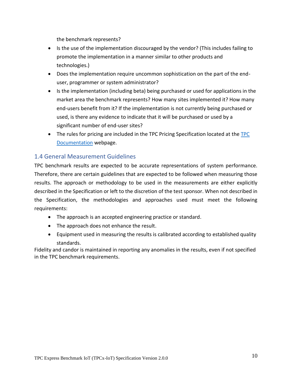the benchmark represents?

- Is the use of the implementation discouraged by the vendor? (This includes failing to promote the implementation in a manner similar to other products and technologies.)
- Does the implementation require uncommon sophistication on the part of the enduser, programmer or system administrator?
- Is the implementation (including beta) being purchased or used for applications in the market area the benchmark represents? How many sites implemented it? How many end-users benefit from it? If the implementation is not currently being purchased or used, is there any evidence to indicate that it will be purchased or used by a significant number of end-user sites?
- The rules for pricing are included in the [TPC](file:///C:/Users/mpoess.ORADEV/Downloads/•%09http:/www.tpc.org/tpc_documents_current_versions/current_specifications.asp) Pricing Specification located at the TPC [Documentation](file:///C:/Users/mpoess.ORADEV/Downloads/•%09http:/www.tpc.org/tpc_documents_current_versions/current_specifications.asp) webpage.

#### <span id="page-9-0"></span>1.4 General Measurement Guidelines

TPC benchmark results are expected to be accurate representations of system performance. Therefore, there are certain guidelines that are expected to be followed when measuring those results. The approach or methodology to be used in the measurements are either explicitly described in the Specification or left to the discretion of the test sponsor. When not described in the Specification, the methodologies and approaches used must meet the following requirements:

- The approach is an accepted engineering practice or standard.
- The approach does not enhance the result.
- Equipment used in measuring the results is calibrated according to established quality standards.

Fidelity and candor is maintained in reporting any anomalies in the results, even if not specified in the TPC benchmark requirements.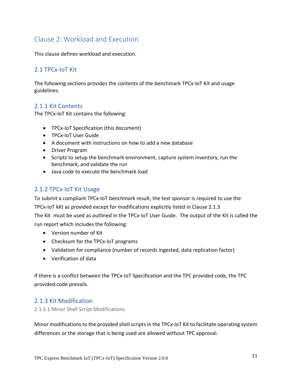# <span id="page-10-0"></span>Clause 2: Workload and Execution

This clause defines workload and execution.

## <span id="page-10-1"></span>2.1 TPCx-IoT Kit

The following sections provides the contents of the benchmark TPCx-IoT Kit and usage guidelines.

#### <span id="page-10-2"></span>2.1.1 Kit Contents

The TPCx-IoT Kit contains the following:

- TPCx-IoT Specification (this document)
- TPCx-IoT User Guide
- A document with instructions on how to add a new database
- Driver Program
- Scripts to setup the benchmark environment, capture system inventory, run the benchmark, and validate the run
- Java code to execute the benchmark load

# <span id="page-10-3"></span>2.1.2 TPCx-IoT Kit Usage

To submit a compliant TPCx-IoT benchmark result, the test sponsor is required to use the TPCx-IoT kKt as provided except for modifications explicitly listed in Clause 2.1.3 The Kit must be used as outlined in the TPCx-IoT User Guide. The output of the Kit is called the run report which includes the following:

- Version number of Kit
- Checksum for the TPCx-IoT programs
- Validation for compliance (number of records ingested, data replication factor)
- Verification of data

If there is a conflict between the TPCx-IoT Specification and the TPC provided code, the TPC provided code prevails.

#### <span id="page-10-4"></span>2.1.3 Kit Modification

#### <span id="page-10-5"></span>2.1.3.1 Minor Shell Script Modifications

Minor modifications to the provided shell scripts in the TPCx-IoT Kit to facilitate operating system differences or the storage that is being used are allowed without TPC approval.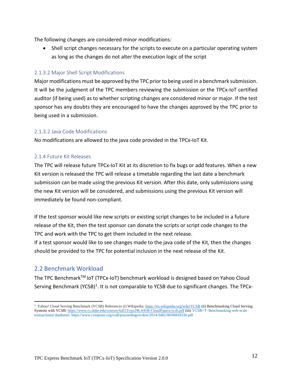The following changes are considered minor modifications:

• Shell script changes necessary for the scripts to execute on a particular operating system as long as the changes do not alter the execution logic of the script

#### <span id="page-11-0"></span>2.1.3.2 Major Shell Script Modifications

Major modifications must be approved by the TPC prior to being used in a benchmark submission. It will be the judgment of the TPC members reviewing the submission or the TPCx-IoT certified auditor (if being used) as to whether scripting changes are considered minor or major. If the test sponsor has any doubts they are encouraged to have the changes approved by the TPC prior to being used in a submission.

#### <span id="page-11-1"></span>2.1.3.2 Java Code Modifications

No modifications are allowed to the java code provided in the TPCx-IoT Kit.

#### <span id="page-11-2"></span>2.1.4 Future Kit Releases

The TPC will release future TPCx-IoT Kit at its discretion to fix bugs or add features. When a new Kit version is released the TPC will release a timetable regarding the last date a benchmark submission can be made using the previous Kit version. After this date, only submissions using the new Kit version will be considered, and submissions using the previous Kit version will immediately be found non-compliant.

If the test sponsor would like new scripts or existing script changes to be included in a future release of the Kit, then the test sponsor can donate the scripts or script code changes to the TPC and work with the TPC to get them included in the next release.

If a test sponsor would like to see changes made to the java code of the Kit, then the changes should be provided to the TPC for potential inclusion in the next release of the Kit.

#### <span id="page-11-3"></span>2.2 Benchmark Workload

The TPC BenchmarkTM IoT (TPCx-IoT) benchmark workload is designed based on Yahoo Cloud Serving Benchmark (YCSB)<sup>1</sup>. It is not comparable to YCSB due to significant changes. The TPCx-

<sup>&</sup>lt;sup>1</sup> Yahoo! Cloud Serving Benchmark (YCSB) References (i) Wikipedia[: https://en.wikipedia.org/wiki/YCSB](https://en.wikipedia.org/wiki/YCSB) (ii) Benchmarking Cloud Serving Systems with YCSB[: https://www.cs.duke.edu/courses/fall13/cps296.4/838-CloudPapers/ycsb.pdf](https://www.cs.duke.edu/courses/fall13/cps296.4/838-CloudPapers/ycsb.pdf) (iii[\) YCSB+T: Benchmarking web-scale](https://www.computer.org/csdl/icdew/2014/3481/00/06818330-abs.html)  [transactional databases: https://www.computer.org/csdl/proceedings/icdew/2014/3481/00/06818330.pdf](https://www.computer.org/csdl/icdew/2014/3481/00/06818330-abs.html)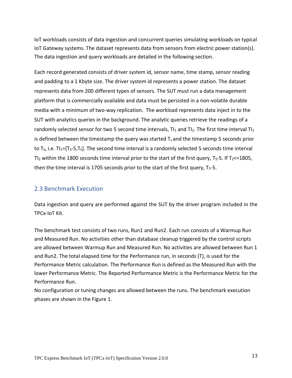IoT workloads consists of data ingestion and concurrent queries simulating workloads on typical IoT Gateway systems. The dataset represents data from sensors from electric power station(s). The data ingestion and query workloads are detailed in the following section.

Each record generated consists of driver system id, sensor name, time stamp, sensor reading and padding to a 1 Kbyte size. The driver system id represents a power station. The dataset represents data from 200 different types of sensors. The SUT must run a data management platform that is commercially available and data must be persisted in a non-volatile durable media with a minimum of two-way replication. The workload represents data inject in to the SUT with analytics queries in the background. The analytic queries retrieve the readings of a randomly selected sensor for two 5 second time intervals,  $TI_1$  and  $TI_2$ . The first time interval  $TI_1$ is defined between the timestamp the query was started  $T_s$  and the timestamp 5 seconds prior to  $T_s$ , i.e.  $T_{1}=[T_s-5,T_s]$ . The second time interval is a randomly selected 5 seconds time interval TI<sub>2</sub> within the 1800 seconds time interval prior to the start of the first query,  $T_S$ -5. If  $T_S$  <=1805, then the time interval is 1705 seconds prior to the start of the first query,  $T_S$ -5.

#### <span id="page-12-0"></span>2.3 Benchmark Execution

Data ingestion and query are performed against the SUT by the driver program included in the TPCx-IoT Kit.

The benchmark test consists of two runs, Run1 and Run2. Each run consists of a Warmup Run and Measured Run. No activities other than database cleanup triggered by the control scripts are allowed between Warmup Run and Measured Run. No activities are allowed between Run 1 and Run2. The total elapsed time for the Performance run, in seconds (T), is used for the Performance Metric calculation. The Performance Run is defined as the Measured Run with the lower Performance Metric. The Reported Performance Metric is the Performance Metric for the Performance Run.

No configuration or tuning changes are allowed between the runs. The benchmark execution phases are shown in the Figure 1.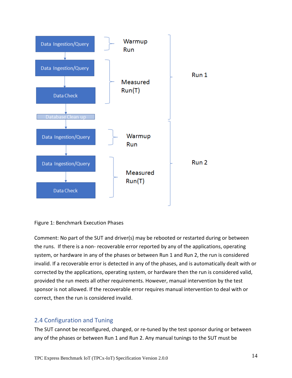



Comment: No part of the SUT and driver(s) may be rebooted or restarted during or between the runs. If there is a non- recoverable error reported by any of the applications, operating system, or hardware in any of the phases or between Run 1 and Run 2, the run is considered invalid. If a recoverable error is detected in any of the phases, and is automatically dealt with or corrected by the applications, operating system, or hardware then the run is considered valid, provided the run meets all other requirements. However, manual intervention by the test sponsor is not allowed. If the recoverable error requires manual intervention to deal with or correct, then the run is considered invalid.

#### <span id="page-13-0"></span>2.4 Configuration and Tuning

The SUT cannot be reconfigured, changed, or re-tuned by the test sponsor during or between any of the phases or between Run 1 and Run 2. Any manual tunings to the SUT must be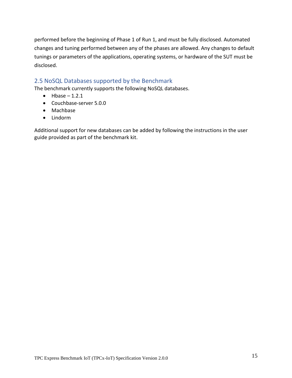performed before the beginning of Phase 1 of Run 1, and must be fully disclosed. Automated changes and tuning performed between any of the phases are allowed. Any changes to default tunings or parameters of the applications, operating systems, or hardware of the SUT must be disclosed.

#### <span id="page-14-0"></span>2.5 NoSQL Databases supported by the Benchmark

The benchmark currently supports the following NoSQL databases.

- $\bullet$  Hbase 1.2.1
- Couchbase-server 5.0.0
- Machbase
- Lindorm

Additional support for new databases can be added by following the instructions in the user guide provided as part of the benchmark kit.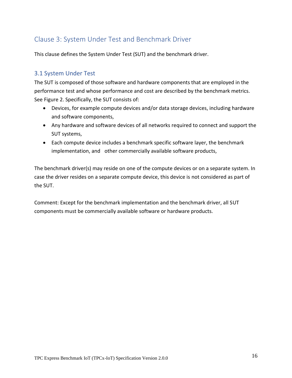# <span id="page-15-0"></span>Clause 3: System Under Test and Benchmark Driver

This clause defines the System Under Test (SUT) and the benchmark driver.

#### <span id="page-15-1"></span>3.1 System Under Test

The SUT is composed of those software and hardware components that are employed in the performance test and whose performance and cost are described by the benchmark metrics. See Figure 2. Specifically, the SUT consists of:

- Devices, for example compute devices and/or data storage devices, including hardware and software components,
- Any hardware and software devices of all networks required to connect and support the SUT systems,
- Each compute device includes a benchmark specific software layer, the benchmark implementation, and other commercially available software products,

The benchmark driver(s) may reside on one of the compute devices or on a separate system. In case the driver resides on a separate compute device, this device is not considered as part of the SUT.

Comment: Except for the benchmark implementation and the benchmark driver, all SUT components must be commercially available software or hardware products.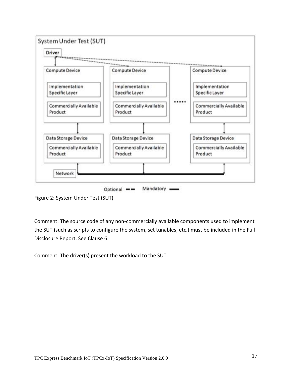

Figure 2: System Under Test (SUT)

Comment: The source code of any non-commercially available components used to implement the SUT (such as scripts to configure the system, set tunables, etc.) must be included in the Full Disclosure Report. See Clause 6.

Comment: The driver(s) present the workload to the SUT.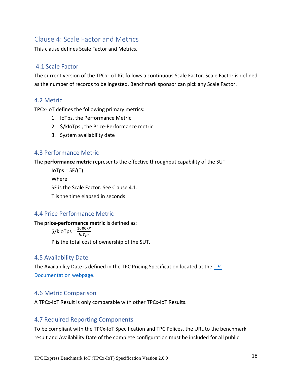# <span id="page-17-0"></span>Clause 4: Scale Factor and Metrics

This clause defines Scale Factor and Metrics.

# <span id="page-17-1"></span>4.1 Scale Factor

The current version of the TPCx-IoT Kit follows a continuous Scale Factor. Scale Factor is defined as the number of records to be ingested. Benchmark sponsor can pick any Scale Factor.

## <span id="page-17-2"></span>4.2 Metric

TPCx-IoT defines the following primary metrics:

- 1. IoTps, the Performance Metric
- 2. \$/kIoTps , the Price-Performance metric
- 3. System availability date

## <span id="page-17-3"></span>4.3 Performance Metric

The **performance metric** represents the effective throughput capability of the SUT

 $IoTps = SF/(T)$ Where SF is the Scale Factor. See Clause 4.1. T is the time elapsed in seconds

# <span id="page-17-4"></span>4.4 Price Performance Metric

The **price-performance metric** is defined as:

 $\frac{\zeta}{\kappa}$ kloTps =  $\frac{1000*P}{I\circ T}$ **IoTps** 

P is the total cost of ownership of the SUT.

#### <span id="page-17-5"></span>4.5 Availability Date

The Availability Date is defined in the TPC Pricing Specification located at the [TPC](http://www.tpc.org/tpc_documents_current_versions/current_specifications.asp)  [Documentation webpage.](http://www.tpc.org/tpc_documents_current_versions/current_specifications.asp)

#### <span id="page-17-6"></span>4.6 Metric Comparison

A TPCx-IoT Result is only comparable with other TPCx-IoT Results.

#### <span id="page-17-7"></span>4.7 Required Reporting Components

To be compliant with the TPCx-IoT Specification and TPC Polices, the URL to the benchmark result and Availability Date of the complete configuration must be included for all public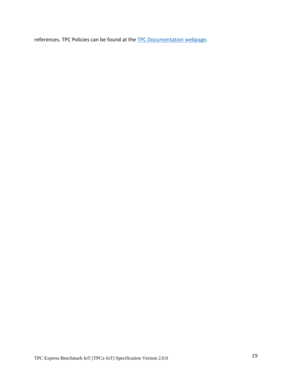references. TPC Policies can be found at the [TPC Documentation webpage.](http://www.tpc.org/tpc_documents_current_versions/current_specifications.asp)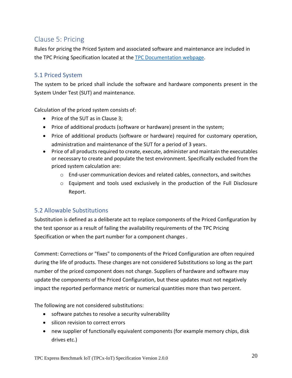# <span id="page-19-0"></span>Clause 5: Pricing

Rules for pricing the Priced System and associated software and maintenance are included in the TPC Pricing Specification located at the [TPC Documentation](http://www.tpc.org/tpc_documents_current_versions/current_specifications.asp) webpage.

# <span id="page-19-1"></span>5.1 Priced System

The system to be priced shall include the software and hardware components present in the System Under Test (SUT) and maintenance.

Calculation of the priced system consists of:

- Price of the SUT as in Clause 3;
- Price of additional products (software or hardware) present in the system;
- Price of additional products (software or hardware) required for customary operation, administration and maintenance of the SUT for a period of 3 years.
- Price of all products required to create, execute, administer and maintain the executables or necessary to create and populate the test environment. Specifically excluded from the priced system calculation are:
	- o End-user communication devices and related cables, connectors, and switches
	- $\circ$  Equipment and tools used exclusively in the production of the Full Disclosure Report.

# <span id="page-19-2"></span>5.2 Allowable Substitutions

Substitution is defined as a deliberate act to replace components of the Priced Configuration by the test sponsor as a result of failing the availability requirements of the TPC Pricing Specification or when the part number for a component changes .

Comment: Corrections or "fixes" to components of the Priced Configuration are often required during the life of products. These changes are not considered Substitutions so long as the part number of the priced component does not change. Suppliers of hardware and software may update the components of the Priced Configuration, but these updates must not negatively impact the reported performance metric or numerical quantities more than two percent.

The following are not considered substitutions:

- software patches to resolve a security vulnerability
- silicon revision to correct errors
- new supplier of functionally equivalent components (for example memory chips, disk drives etc.)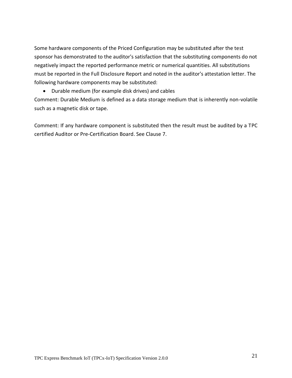Some hardware components of the Priced Configuration may be substituted after the test sponsor has demonstrated to the auditor's satisfaction that the substituting components do not negatively impact the reported performance metric or numerical quantities. All substitutions must be reported in the Full Disclosure Report and noted in the auditor's attestation letter. The following hardware components may be substituted:

• Durable medium (for example disk drives) and cables

Comment: Durable Medium is defined as a data storage medium that is inherently non-volatile such as a magnetic disk or tape.

Comment: If any hardware component is substituted then the result must be audited by a TPC certified Auditor or Pre-Certification Board. See Clause 7.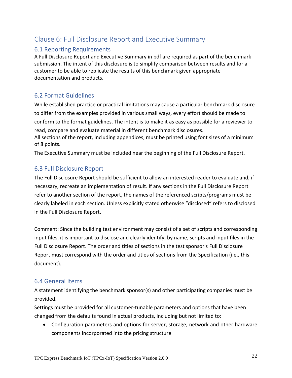# <span id="page-21-0"></span>Clause 6: Full Disclosure Report and Executive Summary

# <span id="page-21-1"></span>6.1 Reporting Requirements

A Full Disclosure Report and Executive Summary in pdf are required as part of the benchmark submission. The intent of this disclosure is to simplify comparison between results and for a customer to be able to replicate the results of this benchmark given appropriate documentation and products.

# <span id="page-21-2"></span>6.2 Format Guidelines

While established practice or practical limitations may cause a particular benchmark disclosure to differ from the examples provided in various small ways, every effort should be made to conform to the format guidelines. The intent is to make it as easy as possible for a reviewer to read, compare and evaluate material in different benchmark disclosures.

All sections of the report, including appendices, must be printed using font sizes of a minimum of 8 points.

The Executive Summary must be included near the beginning of the Full Disclosure Report.

# <span id="page-21-3"></span>6.3 Full Disclosure Report

The Full Disclosure Report should be sufficient to allow an interested reader to evaluate and, if necessary, recreate an implementation of result. If any sections in the Full Disclosure Report refer to another section of the report, the names of the referenced scripts/programs must be clearly labeled in each section. Unless explicitly stated otherwise "disclosed" refers to disclosed in the Full Disclosure Report.

Comment: Since the building test environment may consist of a set of scripts and corresponding input files, it is important to disclose and clearly identify, by name, scripts and input files in the Full Disclosure Report. The order and titles of sections in the test sponsor's Full Disclosure Report must correspond with the order and titles of sections from the Specification (i.e., this document).

# <span id="page-21-4"></span>6.4 General Items

A statement identifying the benchmark sponsor(s) and other participating companies must be provided.

Settings must be provided for all customer-tunable parameters and options that have been changed from the defaults found in actual products, including but not limited to:

• Configuration parameters and options for server, storage, network and other hardware components incorporated into the pricing structure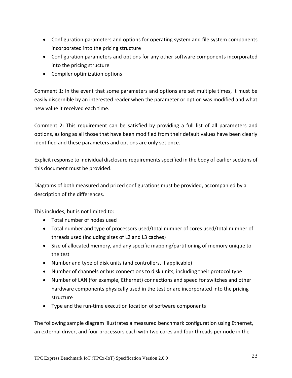- Configuration parameters and options for operating system and file system components incorporated into the pricing structure
- Configuration parameters and options for any other software components incorporated into the pricing structure
- Compiler optimization options

Comment 1: In the event that some parameters and options are set multiple times, it must be easily discernible by an interested reader when the parameter or option was modified and what new value it received each time.

Comment 2: This requirement can be satisfied by providing a full list of all parameters and options, as long as all those that have been modified from their default values have been clearly identified and these parameters and options are only set once.

Explicit response to individual disclosure requirements specified in the body of earlier sections of this document must be provided.

Diagrams of both measured and priced configurations must be provided, accompanied by a description of the differences.

This includes, but is not limited to:

- Total number of nodes used
- Total number and type of processors used/total number of cores used/total number of threads used (including sizes of L2 and L3 caches)
- Size of allocated memory, and any specific mapping/partitioning of memory unique to the test
- Number and type of disk units (and controllers, if applicable)
- Number of channels or bus connections to disk units, including their protocol type
- Number of LAN (for example, Ethernet) connections and speed for switches and other hardware components physically used in the test or are incorporated into the pricing structure
- Type and the run-time execution location of software components

The following sample diagram illustrates a measured benchmark configuration using Ethernet, an external driver, and four processors each with two cores and four threads per node in the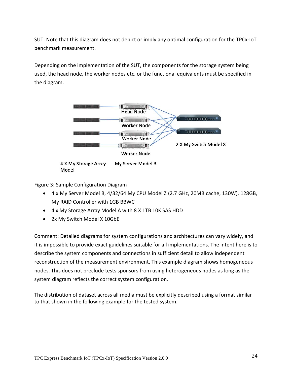SUT. Note that this diagram does not depict or imply any optimal configuration for the TPCx-IoT benchmark measurement.

Depending on the implementation of the SUT, the components for the storage system being used, the head node, the worker nodes etc. or the functional equivalents must be specified in the diagram.



Figure 3: Sample Configuration Diagram

- 4 x My Server Model B, 4/32/64 My CPU Model Z (2.7 GHz, 20MB cache, 130W), 128GB, My RAID Controller with 1GB BBWC
- 4 x My Storage Array Model A with 8 X 1TB 10K SAS HDD
- 2x My Switch Model X 10GbE

Comment: Detailed diagrams for system configurations and architectures can vary widely, and it is impossible to provide exact guidelines suitable for all implementations. The intent here is to describe the system components and connections in sufficient detail to allow independent reconstruction of the measurement environment. This example diagram shows homogeneous nodes. This does not preclude tests sponsors from using heterogeneous nodes as long as the system diagram reflects the correct system configuration.

The distribution of dataset across all media must be explicitly described using a format similar to that shown in the following example for the tested system.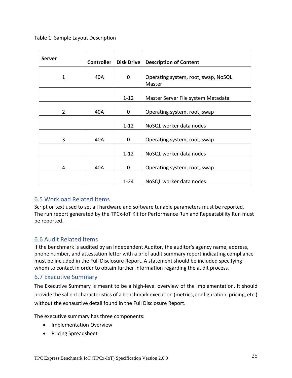Table 1: Sample Layout Description

| <b>Server</b>  | <b>Controller</b> | <b>Disk Drive</b> | <b>Description of Content</b>                 |  |  |
|----------------|-------------------|-------------------|-----------------------------------------------|--|--|
| 1              | 40A               | 0                 | Operating system, root, swap, NoSQL<br>Master |  |  |
|                |                   | $1 - 12$          | Master Server File system Metadata            |  |  |
| $\overline{2}$ | 40A               | 0                 | Operating system, root, swap                  |  |  |
|                |                   | $1 - 12$          | NoSQL worker data nodes                       |  |  |
| 3              | 40A               | 0                 | Operating system, root, swap                  |  |  |
|                |                   | $1 - 12$          | NoSQL worker data nodes                       |  |  |
| 4              | 40A               | 0                 | Operating system, root, swap                  |  |  |
|                |                   | $1 - 24$          | NoSQL worker data nodes                       |  |  |

#### <span id="page-24-0"></span>6.5 Workload Related Items

Script or text used to set all hardware and software tunable parameters must be reported. The run report generated by the TPCx-IoT Kit for Performance Run and Repeatability Run must be reported.

# <span id="page-24-1"></span>6.6 Audit Related Items

If the benchmark is audited by an Independent Auditor, the auditor's agency name, address, phone number, and attestation letter with a brief audit summary report indicating compliance must be included in the Full Disclosure Report. A statement should be included specifying whom to contact in order to obtain further information regarding the audit process.

#### <span id="page-24-2"></span>6.7 Executive Summary

The Executive Summary is meant to be a high-level overview of the implementation. It should provide the salient characteristics of a benchmark execution (metrics, configuration, pricing, etc.) without the exhaustive detail found in the Full Disclosure Report.

The executive summary has three components:

- Implementation Overview
- Pricing Spreadsheet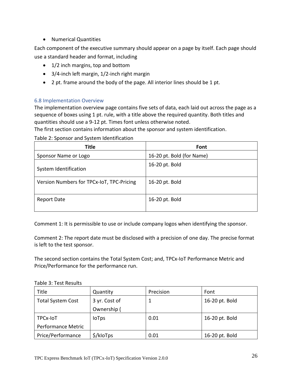• Numerical Quantities

Each component of the executive summary should appear on a page by itself. Each page should use a standard header and format, including

- 1/2 inch margins, top and bottom
- 3/4-inch left margin, 1/2-inch right margin
- 2 pt. frame around the body of the page. All interior lines should be 1 pt.

#### <span id="page-25-0"></span>6.8 Implementation Overview

The implementation overview page contains five sets of data, each laid out across the page as a sequence of boxes using 1 pt. rule, with a title above the required quantity. Both titles and quantities should use a 9-12 pt. Times font unless otherwise noted.

The first section contains information about the sponsor and system identification.

Table 2: Sponsor and System Identification

| <b>Title</b>                              | Font                      |
|-------------------------------------------|---------------------------|
| Sponsor Name or Logo                      | 16-20 pt. Bold (for Name) |
| System Identification                     | 16-20 pt. Bold            |
| Version Numbers for TPCx-IoT, TPC-Pricing | 16-20 pt. Bold            |
| <b>Report Date</b>                        | 16-20 pt. Bold            |

Comment 1: It is permissible to use or include company logos when identifying the sponsor.

Comment 2: The report date must be disclosed with a precision of one day. The precise format is left to the test sponsor.

The second section contains the Total System Cost; and, TPCx-IoT Performance Metric and Price/Performance for the performance run.

Table 3: Test Results

| Title                     | Quantity      | Precision | Font           |
|---------------------------|---------------|-----------|----------------|
| <b>Total System Cost</b>  | 3 yr. Cost of |           | 16-20 pt. Bold |
|                           | Ownership (   |           |                |
| TPCx-IoT                  | <b>loTps</b>  | 0.01      | 16-20 pt. Bold |
| <b>Performance Metric</b> |               |           |                |
| Price/Performance         | \$/kloTps     | 0.01      | 16-20 pt. Bold |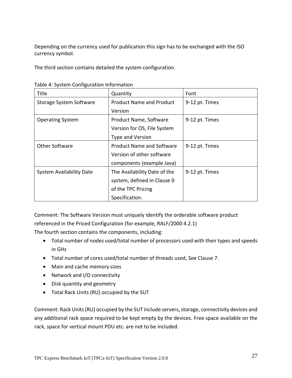Depending on the currency used for publication this sign has to be exchanged with the ISO currency symbol.

The third section contains detailed the system configuration.

| Title                           | Quantity                         | Font           |
|---------------------------------|----------------------------------|----------------|
| Storage System Software         | <b>Product Name and Product</b>  | 9-12 pt. Times |
|                                 | Version                          |                |
| <b>Operating System</b>         | Product Name, Software           | 9-12 pt. Times |
|                                 | Version for OS, File System      |                |
|                                 | Type and Version                 |                |
| <b>Other Software</b>           | <b>Product Name and Software</b> | 9-12 pt. Times |
|                                 | Version of other software        |                |
|                                 | components (example Java)        |                |
| <b>System Availability Date</b> | The Availability Date of the     | 9-12 pt. Times |
|                                 | system, defined in Clause 0      |                |
|                                 | of the TPC Pricing               |                |
|                                 | Specification.                   |                |

Table 4: System Configuration Information

Comment: The Software Version must uniquely identify the orderable software product

referenced in the Priced Configuration (for example, RALF/2000 4.2.1)

The fourth section contains the components, including:

- Total number of nodes used/total number of processors used with their types and speeds in GHz
- Total number of cores used/total number of threads used, See Clause 7.
- Main and cache memory sizes
- Network and I/O connectivity
- Disk quantity and geometry
- Total Rack Units (RU) occupied by the SUT

Comment: Rack Units (RU) occupied by the SUT include servers, storage, connectivity devices and any additional rack space required to be kept empty by the devices. Free space available on the rack, space for vertical mount PDU etc. are not to be included.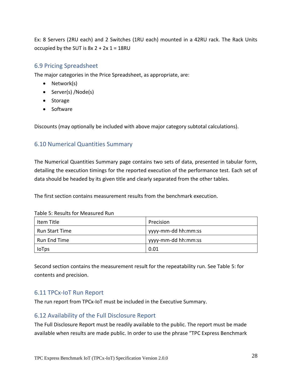Ex: 8 Servers (2RU each) and 2 Switches (1RU each) mounted in a 42RU rack. The Rack Units occupied by the SUT is  $8x 2 + 2x 1 = 18RU$ 

#### <span id="page-27-0"></span>6.9 Pricing Spreadsheet

The major categories in the Price Spreadsheet, as appropriate, are:

- Network(s)
- Server(s) /Node(s)
- Storage
- Software

Discounts (may optionally be included with above major category subtotal calculations).

## <span id="page-27-1"></span>6.10 Numerical Quantities Summary

The Numerical Quantities Summary page contains two sets of data, presented in tabular form, detailing the execution timings for the reported execution of the performance test. Each set of data should be headed by its given title and clearly separated from the other tables.

The first section contains measurement results from the benchmark execution.

| Item Title          | Precision           |
|---------------------|---------------------|
| Run Start Time      | yyyy-mm-dd hh:mm:ss |
| <b>Run End Time</b> | yyyy-mm-dd hh:mm:ss |
| <b>IoTps</b>        | 0.01                |

Table 5: Results for Measured Run

Second section contains the measurement result for the repeatability run. See Table 5: for contents and precision.

# <span id="page-27-2"></span>6.11 TPCx-IoT Run Report

<span id="page-27-3"></span>The run report from TPCx-IoT must be included in the Executive Summary.

#### <span id="page-27-4"></span>6.12 Availability of the Full Disclosure Report

The Full Disclosure Report must be readily available to the public. The report must be made available when results are made public. In order to use the phrase "TPC Express Benchmark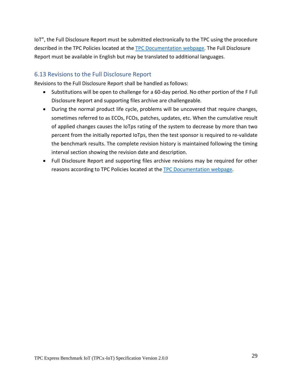IoT", the Full Disclosure Report must be submitted electronically to the TPC using the procedure described in the TPC Policies located at the [TPC Documentation webpage.](http://www.tpc.org/tpc_documents_current_versions/current_specifications.asp) The Full Disclosure Report must be available in English but may be translated to additional languages.

## <span id="page-28-0"></span>6.13 Revisions to the Full Disclosure Report

Revisions to the Full Disclosure Report shall be handled as follows:

- Substitutions will be open to challenge for a 60-day period. No other portion of the F Full Disclosure Report and supporting files archive are challengeable.
- During the normal product life cycle, problems will be uncovered that require changes, sometimes referred to as ECOs, FCOs, patches, updates, etc. When the cumulative result of applied changes causes the IoTps rating of the system to decrease by more than two percent from the initially reported IoTps, then the test sponsor is required to re-validate the benchmark results. The complete revision history is maintained following the timing interval section showing the revision date and description.
- Full Disclosure Report and supporting files archive revisions may be required for other reasons according to TPC Policies located at th[e TPC Documentation webpage.](http://www.tpc.org/tpc_documents_current_versions/current_specifications.asp)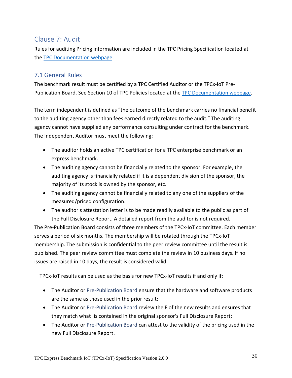# <span id="page-29-0"></span>Clause 7: Audit

Rules for auditing Pricing information are included in the TPC Pricing Specification located at the [TPC Documentation webpage.](http://www.tpc.org/tpc_documents_current_versions/current_specifications.asp)

# <span id="page-29-1"></span>7.1 General Rules

The benchmark result must be certified by a TPC Certified Auditor or the TPCx-IoT Pre-Publication Board. See Section 10 of TPC Policies located at the [TPC Documentation webpage.](http://www.tpc.org/tpc_documents_current_versions/current_specifications.asp)

The term independent is defined as "the outcome of the benchmark carries no financial benefit to the auditing agency other than fees earned directly related to the audit." The auditing agency cannot have supplied any performance consulting under contract for the benchmark. The Independent Auditor must meet the following:

- The auditor holds an active TPC certification for a TPC enterprise benchmark or an express benchmark.
- The auditing agency cannot be financially related to the sponsor. For example, the auditing agency is financially related if it is a dependent division of the sponsor, the majority of its stock is owned by the sponsor, etc.
- The auditing agency cannot be financially related to any one of the suppliers of the measured/priced configuration.
- The auditor's attestation letter is to be made readily available to the public as part of the Full Disclosure Report. A detailed report from the auditor is not required.

<span id="page-29-2"></span>The Pre-Publication Board consists of three members of the TPCx-IoT committee. Each member serves a period of six months. The membership will be rotated through the TPCx-IoT membership. The submission is confidential to the peer review committee until the result is published. The peer review committee must complete the review in 10 business days. If no issues are raised in 10 days, the result is considered valid.

TPCx-IoT results can be used as the basis for new TPCx-IoT results if and only if:

- The Auditor or Pre-Publication Board ensure that the hardware and software products are the same as those used in the prior result;
- The Auditor or Pre-Publication Board review the F of the new results and ensures that they match what is contained in the original sponsor's Full Disclosure Report;
- The Auditor or Pre-Publication Board can attest to the validity of the pricing used in the new Full Disclosure Report.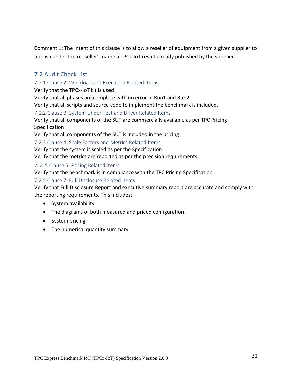Comment 1: The intent of this clause is to allow a reseller of equipment from a given supplier to publish under the re- seller's name a TPCx-IoT result already published by the supplier.

# <span id="page-30-0"></span>7.2 Audit Check List

#### <span id="page-30-1"></span>7.2.1 Clause 2: Workload and Execution Related Items

Verify that the TPCx-IoT kit is used

Verify that all phases are complete with no error in Run1 and Run2

Verify that all scripts and source code to implement the benchmark is included.

#### <span id="page-30-2"></span>7.2.2 Clause 3: System Under Test and Driver Related Items

Verify that all components of the SUT are commercially available as per TPC Pricing Specification

Verify that all components of the SUT is included in the pricing

<span id="page-30-3"></span>7.2.3 Clause 4: Scale Factors and Metrics Related Items

Verify that the system is scaled as per the Specification

Verify that the metrics are reported as per the precision requirements

#### <span id="page-30-4"></span>7.2.4 Clause 5: Pricing Related Items

Verify that the benchmark is in compliance with the TPC Pricing Specification

#### <span id="page-30-5"></span>7.2.5 Clause 7: Full Disclosure Related Items

Verify that Full Disclosure Report and executive summary report are accurate and comply with the reporting requirements. This includes:

- System availability
- The diagrams of both measured and priced configuration.
- System pricing
- The numerical quantity summary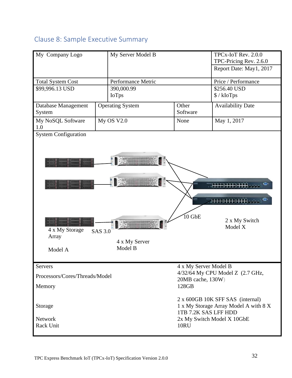# <span id="page-31-0"></span>Clause 8: Sample Executive Summary

| My Company Logo                               | My Server Model B                          |                                   | TPCx-IoT Rev. 2.0.0<br>TPC-Pricing Rev. 2.6.0<br>Report Date: May1, 2017                                                        |  |  |
|-----------------------------------------------|--------------------------------------------|-----------------------------------|---------------------------------------------------------------------------------------------------------------------------------|--|--|
| <b>Total System Cost</b>                      | Performance Metric                         |                                   | Price / Performance                                                                                                             |  |  |
| \$99,996.13 USD                               | 390,000.99                                 |                                   | \$256.40 USD                                                                                                                    |  |  |
|                                               | <b>IoTps</b>                               |                                   | $\frac{\$}{\ kIoTps}$                                                                                                           |  |  |
| Database Management<br>System                 | <b>Operating System</b>                    | Other<br>Software                 | <b>Availability Date</b>                                                                                                        |  |  |
| My NoSQL Software<br>1.0                      | My OS V2.0                                 | None                              | May 1, 2017                                                                                                                     |  |  |
| 4 x My Storage<br>Array<br>Model A<br>Servers | <b>SAS 3.0</b><br>4 x My Server<br>Model B | $10$ GbE<br>4 x My Server Model B | 2 x My Switch<br>Model X                                                                                                        |  |  |
| Processors/Cores/Threads/Model<br>Memory      |                                            | 128GB                             | 4/32/64 My CPU Model Z (2.7 GHz,<br>20MB cache, 130W)                                                                           |  |  |
| Storage<br>Network<br>Rack Unit               |                                            | <b>10RU</b>                       | 2 x 600GB 10K SFF SAS (internal)<br>1 x My Storage Array Model A with 8 X<br>1TB 7.2K SAS LFF HDD<br>2x My Switch Model X 10GbE |  |  |